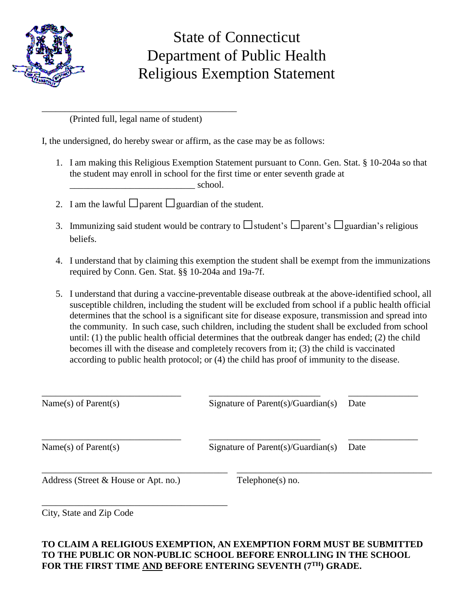

## State of Connecticut Department of Public Health Religious Exemption Statement

\_\_\_\_\_\_\_\_\_\_\_\_\_\_\_\_\_\_\_\_\_\_\_\_\_\_\_\_\_\_\_\_\_\_\_\_\_\_\_\_\_\_ (Printed full, legal name of student)

I, the undersigned, do hereby swear or affirm, as the case may be as follows:

- 1. I am making this Religious Exemption Statement pursuant to Conn. Gen. Stat. § 10-204a so that the student may enroll in school for the first time or enter seventh grade at \_\_\_\_\_\_\_\_\_\_\_\_\_\_\_\_\_\_\_\_\_\_\_\_\_\_\_ school.
- 2. I am the lawful  $\Box$  parent  $\Box$  guardian of the student.
- 3. Immunizing said student would be contrary to  $\Box$  student's  $\Box$  parent's  $\Box$  guardian's religious beliefs.
- 4. I understand that by claiming this exemption the student shall be exempt from the immunizations required by Conn. Gen. Stat. §§ 10-204a and 19a-7f.
- 5. I understand that during a vaccine-preventable disease outbreak at the above-identified school, all susceptible children, including the student will be excluded from school if a public health official determines that the school is a significant site for disease exposure, transmission and spread into the community. In such case, such children, including the student shall be excluded from school until: (1) the public health official determines that the outbreak danger has ended; (2) the child becomes ill with the disease and completely recovers from it; (3) the child is vaccinated according to public health protocol; or (4) the child has proof of immunity to the disease.

| Name(s) of Parent(s)                 | Signature of Parent $(s)/G$ uardian $(s)$ | Date |
|--------------------------------------|-------------------------------------------|------|
| Name(s) of Parent(s)                 | Signature of Parent $(s)/G$ uardian $(s)$ | Date |
| Address (Street & House or Apt. no.) | $Telphone(s)$ no.                         |      |
| City, State and Zip Code             |                                           |      |

## **TO CLAIM A RELIGIOUS EXEMPTION, AN EXEMPTION FORM MUST BE SUBMITTED TO THE PUBLIC OR NON-PUBLIC SCHOOL BEFORE ENROLLING IN THE SCHOOL FOR THE FIRST TIME AND BEFORE ENTERING SEVENTH (7TH) GRADE.**